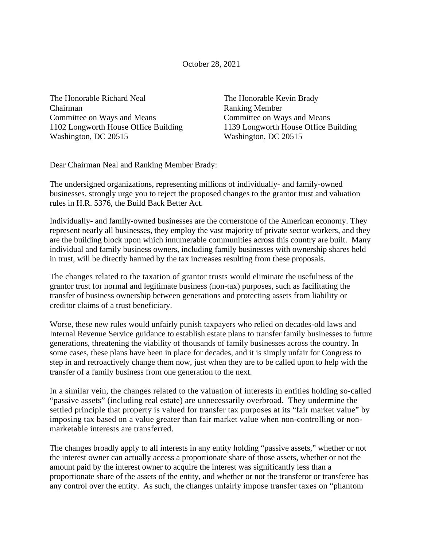October 28, 2021

The Honorable Richard Neal Chairman Committee on Ways and Means 1102 Longworth House Office Building Washington, DC 20515

The Honorable Kevin Brady Ranking Member Committee on Ways and Means 1139 Longworth House Office Building Washington, DC 20515

Dear Chairman Neal and Ranking Member Brady:

The undersigned organizations, representing millions of individually- and family-owned businesses, strongly urge you to reject the proposed changes to the grantor trust and valuation rules in H.R. 5376, the Build Back Better Act.

Individually- and family-owned businesses are the cornerstone of the American economy. They represent nearly all businesses, they employ the vast majority of private sector workers, and they are the building block upon which innumerable communities across this country are built. Many individual and family business owners, including family businesses with ownership shares held in trust, will be directly harmed by the tax increases resulting from these proposals.

The changes related to the taxation of grantor trusts would eliminate the usefulness of the grantor trust for normal and legitimate business (non-tax) purposes, such as facilitating the transfer of business ownership between generations and protecting assets from liability or creditor claims of a trust beneficiary.

Worse, these new rules would unfairly punish taxpayers who relied on decades-old laws and Internal Revenue Service guidance to establish estate plans to transfer family businesses to future generations, threatening the viability of thousands of family businesses across the country. In some cases, these plans have been in place for decades, and it is simply unfair for Congress to step in and retroactively change them now, just when they are to be called upon to help with the transfer of a family business from one generation to the next.

In a similar vein, the changes related to the valuation of interests in entities holding so-called "passive assets" (including real estate) are unnecessarily overbroad. They undermine the settled principle that property is valued for transfer tax purposes at its "fair market value" by imposing tax based on a value greater than fair market value when non-controlling or nonmarketable interests are transferred.

The changes broadly apply to all interests in any entity holding "passive assets," whether or not the interest owner can actually access a proportionate share of those assets, whether or not the amount paid by the interest owner to acquire the interest was significantly less than a proportionate share of the assets of the entity, and whether or not the transferor or transferee has any control over the entity. As such, the changes unfairly impose transfer taxes on "phantom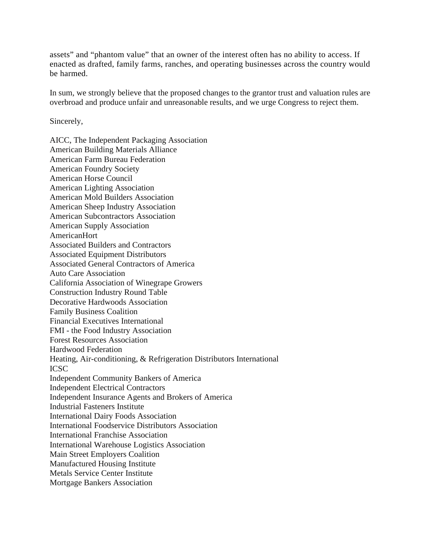assets" and "phantom value" that an owner of the interest often has no ability to access. If enacted as drafted, family farms, ranches, and operating businesses across the country would be harmed.

In sum, we strongly believe that the proposed changes to the grantor trust and valuation rules are overbroad and produce unfair and unreasonable results, and we urge Congress to reject them.

Sincerely,

AICC, The Independent Packaging Association American Building Materials Alliance American Farm Bureau Federation American Foundry Society American Horse Council American Lighting Association American Mold Builders Association American Sheep Industry Association American Subcontractors Association American Supply Association AmericanHort Associated Builders and Contractors Associated Equipment Distributors Associated General Contractors of America Auto Care Association California Association of Winegrape Growers Construction Industry Round Table Decorative Hardwoods Association Family Business Coalition Financial Executives International FMI - the Food Industry Association Forest Resources Association Hardwood Federation Heating, Air-conditioning, & Refrigeration Distributors International ICSC Independent Community Bankers of America Independent Electrical Contractors Independent Insurance Agents and Brokers of America Industrial Fasteners Institute International Dairy Foods Association International Foodservice Distributors Association International Franchise Association International Warehouse Logistics Association Main Street Employers Coalition Manufactured Housing Institute Metals Service Center Institute Mortgage Bankers Association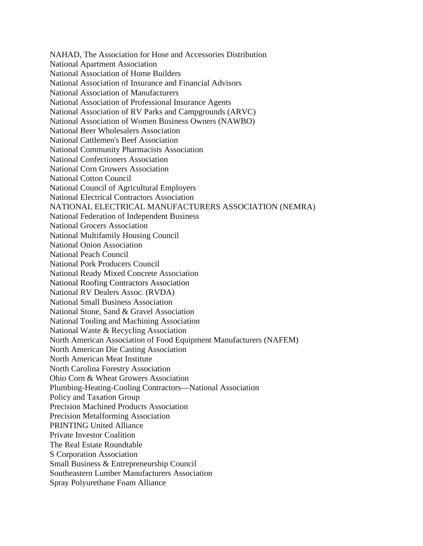NAHAD, The Association for Hose and Accessories Distribution National Apartment Association National Association of Home Builders National Association of Insurance and Financial Advisors National Association of Manufacturers National Association of Professional Insurance Agents National Association of RV Parks and Campgrounds (ARVC) National Association of Women Business Owners (NAWBO) National Beer Wholesalers Association National Cattlemen's Beef Association National Community Pharmacists Association National Confectioners Association National Corn Growers Association National Cotton Council National Council of Agricultural Employers National Electrical Contractors Association NATIONAL ELECTRICAL MANUFACTURERS ASSOCIATION (NEMRA) National Federation of Independent Business National Grocers Association National Multifamily Housing Council National Onion Association National Peach Council National Pork Producers Council National Ready Mixed Concrete Association National Roofing Contractors Association National RV Dealers Assoc. (RVDA) National Small Business Association National Stone, Sand & Gravel Association National Tooling and Machining Association National Waste & Recycling Association North American Association of Food Equipment Manufacturers (NAFEM) North American Die Casting Association North American Meat Institute North Carolina Forestry Association Ohio Corn & Wheat Growers Association Plumbing-Heating-Cooling Contractors—National Association Policy and Taxation Group Precision Machined Products Association Precision Metalforming Association PRINTING United Alliance Private Investor Coalition The Real Estate Roundtable S Corporation Association Small Business & Entrepreneurship Council Southeastern Lumber Manufacturers Association Spray Polyurethane Foam Alliance